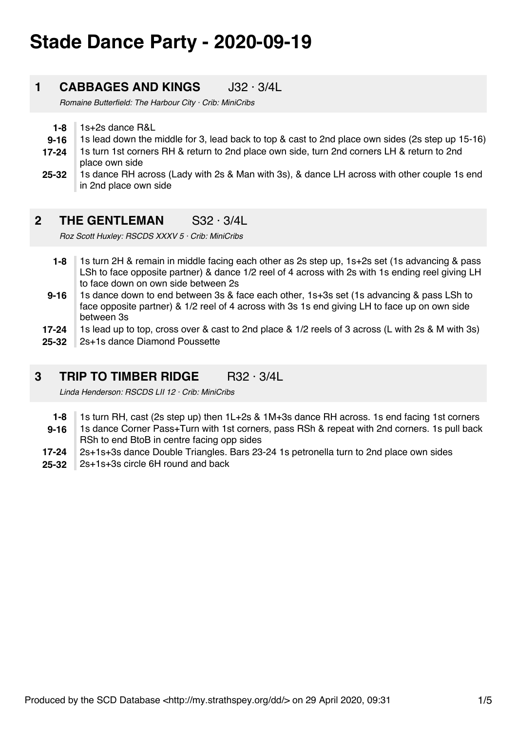# **Stade Dance Party - 2020-09-19**

# **1 CABBAGES AND KINGS** J32 · 3/4L

*Romaine Butterfield: The Harbour City · Crib: MiniCribs*

- **1-8** 1s+2s dance R&L
- **9-16** 1s lead down the middle for 3, lead back to top & cast to 2nd place own sides (2s step up 15-16)
- **17-24** 1s turn 1st corners RH & return to 2nd place own side, turn 2nd corners LH & return to 2nd place own side
- **25-32** 1s dance RH across (Lady with 2s & Man with 3s), & dance LH across with other couple 1s end in 2nd place own side

# **2 THE GENTLEMAN** S32 · 3/4L

*Roz Scott Huxley: RSCDS XXXV 5 · Crib: MiniCribs*

- **1-8** 1s turn 2H & remain in middle facing each other as 2s step up, 1s+2s set (1s advancing & pass LSh to face opposite partner) & dance 1/2 reel of 4 across with 2s with 1s ending reel giving LH to face down on own side between 2s
- **9-16** 1s dance down to end between 3s & face each other, 1s+3s set (1s advancing & pass LSh to face opposite partner) & 1/2 reel of 4 across with 3s 1s end giving LH to face up on own side between 3s
- **17-24** 1s lead up to top, cross over & cast to 2nd place & 1/2 reels of 3 across (L with 2s & M with 3s)
- **25-32** 2s+1s dance Diamond Poussette

# **3 TRIP TO TIMBER RIDGE** R32 · 3/4L

*Linda Henderson: RSCDS LII 12 · Crib: MiniCribs*

- **1-8** 1s turn RH, cast (2s step up) then 1L+2s & 1M+3s dance RH across. 1s end facing 1st corners
- **9-16** 1s dance Corner Pass+Turn with 1st corners, pass RSh & repeat with 2nd corners. 1s pull back RSh to end BtoB in centre facing opp sides
- **17-24** 2s+1s+3s dance Double Triangles. Bars 23-24 1s petronella turn to 2nd place own sides
- **25-32** 2s+1s+3s circle 6H round and back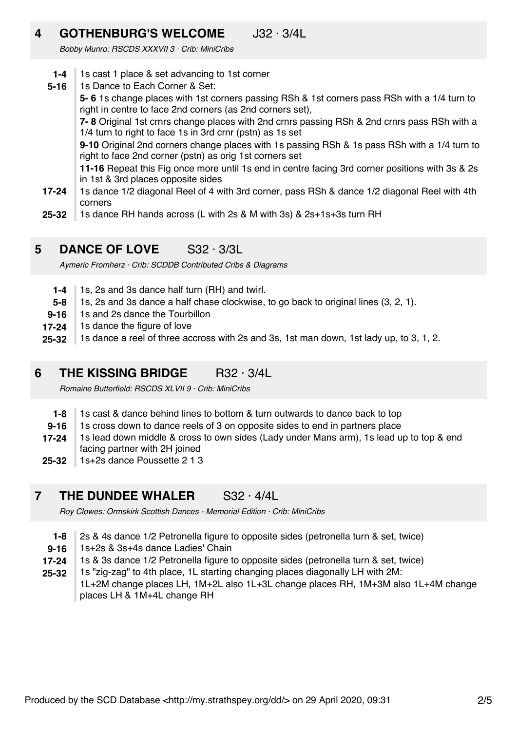# **4 GOTHENBURG'S WELCOME** J32 · 3/4L

*Bobby Munro: RSCDS XXXVII 3 · Crib: MiniCribs*

- **1-4** 1s cast 1 place & set advancing to 1st corner
- **17-24 5-16** 1s Dance to Each Corner & Set: **5- 6** 1s change places with 1st corners passing RSh & 1st corners pass RSh with a 1/4 turn to right in centre to face 2nd corners (as 2nd corners set), **7- 8** Original 1st crnrs change places with 2nd crnrs passing RSh & 2nd crnrs pass RSh with a 1/4 turn to right to face 1s in 3rd crnr (pstn) as 1s set **9-10** Original 2nd corners change places with 1s passing RSh & 1s pass RSh with a 1/4 turn to right to face 2nd corner (pstn) as orig 1st corners set **11-16** Repeat this Fig once more until 1s end in centre facing 3rd corner positions with 3s & 2s in 1st & 3rd places opposite sides 1s dance 1/2 diagonal Reel of 4 with 3rd corner, pass RSh & dance 1/2 diagonal Reel with 4th corners
- **25-32** 1s dance RH hands across (L with 2s & M with 3s) & 2s+1s+3s turn RH

# **5 DANCE OF LOVE** S32 · 3/3L

*Aymeric Fromherz · Crib: SCDDB Contributed Cribs & Diagrams*

- **1-4** 1s, 2s and 3s dance half turn (RH) and twirl.
- **5-8** 1s, 2s and 3s dance a half chase clockwise, to go back to original lines (3, 2, 1).
- **9-16** 1s and 2s dance the Tourbillon
- **17-24** 1s dance the figure of love
- **25-32** 1s dance a reel of three accross with 2s and 3s, 1st man down, 1st lady up, to 3, 1, 2.

### **6 THE KISSING BRIDGE** R32 · 3/4L

*Romaine Butterfield: RSCDS XLVII 9 · Crib: MiniCribs*

- **1-8** 1s cast & dance behind lines to bottom & turn outwards to dance back to top
- **9-16** 1s cross down to dance reels of 3 on opposite sides to end in partners place
- **17-24** 1s lead down middle & cross to own sides (Lady under Mans arm), 1s lead up to top & end facing partner with 2H joined
- **25-32** 1s+2s dance Poussette 2 1 3

# **7 THE DUNDEE WHALER** S32 · 4/4L

*Roy Clowes: Ormskirk Scottish Dances - Memorial Edition · Crib: MiniCribs*

- **1-8** 2s & 4s dance 1/2 Petronella figure to opposite sides (petronella turn & set, twice)
- **9-16** 1s+2s & 3s+4s dance Ladies' Chain
- **17-24** 1s & 3s dance 1/2 Petronella figure to opposite sides (petronella turn & set, twice)
- **25-32** 1s "zig-zag" to 4th place, 1L starting changing places diagonally LH with 2M: 1L+2M change places LH, 1M+2L also 1L+3L change places RH, 1M+3M also 1L+4M change places LH & 1M+4L change RH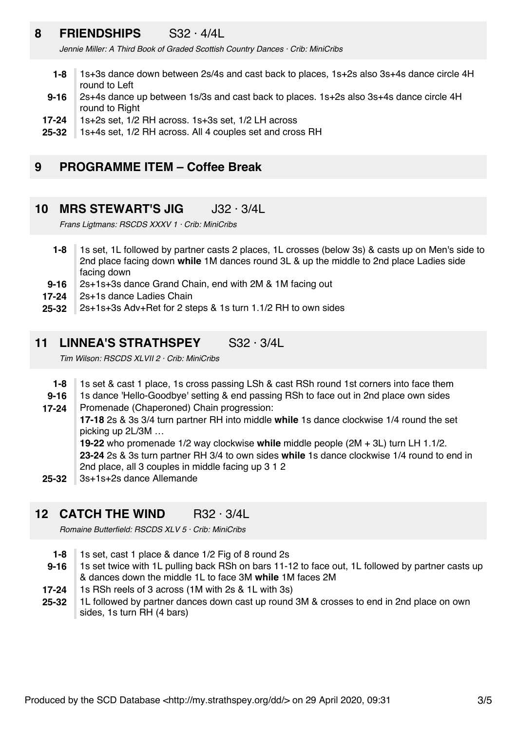# **8 FRIENDSHIPS** S32 · 4/4L

*Jennie Miller: A Third Book of Graded Scottish Country Dances · Crib: MiniCribs*

- **1-8** 1s+3s dance down between 2s/4s and cast back to places, 1s+2s also 3s+4s dance circle 4H round to Left
- **9-16** 2s+4s dance up between 1s/3s and cast back to places. 1s+2s also 3s+4s dance circle 4H round to Right
- **17-24** 1s+2s set, 1/2 RH across. 1s+3s set, 1/2 LH across
- **25-32** 1s+4s set, 1/2 RH across. All 4 couples set and cross RH

### **9 PROGRAMME ITEM – Coffee Break**

#### **10 MRS STEWART'S JIG** J32 · 3/4L

*Frans Ligtmans: RSCDS XXXV 1 · Crib: MiniCribs*

- **1-8** 1s set, 1L followed by partner casts 2 places, 1L crosses (below 3s) & casts up on Men's side to 2nd place facing down **while** 1M dances round 3L & up the middle to 2nd place Ladies side facing down
- **9-16** 2s+1s+3s dance Grand Chain, end with 2M & 1M facing out
- **17-24** 2s+1s dance Ladies Chain
- **25-32** 2s+1s+3s Adv+Ret for 2 steps & 1s turn 1.1/2 RH to own sides

# **11 LINNEA'S STRATHSPEY** S32 · 3/4L

*Tim Wilson: RSCDS XLVII 2 · Crib: MiniCribs*

- **1-8** 1s set & cast 1 place, 1s cross passing LSh & cast RSh round 1st corners into face them
- **9-16** 1s dance 'Hello-Goodbye' setting & end passing RSh to face out in 2nd place own sides
- **17-24** Promenade (Chaperoned) Chain progression:

**17-18** 2s & 3s 3/4 turn partner RH into middle **while** 1s dance clockwise 1/4 round the set picking up 2L/3M …

**19-22** who promenade 1/2 way clockwise **while** middle people (2M + 3L) turn LH 1.1/2. **23-24** 2s & 3s turn partner RH 3/4 to own sides **while** 1s dance clockwise 1/4 round to end in

2nd place, all 3 couples in middle facing up 3 1 2

**25-32** 3s+1s+2s dance Allemande

# **12 CATCH THE WIND** R32 · 3/4L

*Romaine Butterfield: RSCDS XLV 5 · Crib: MiniCribs*

- **1-8** 1s set, cast 1 place & dance 1/2 Fig of 8 round 2s
- **9-16** 1s set twice with 1L pulling back RSh on bars 11-12 to face out, 1L followed by partner casts up & dances down the middle 1L to face 3M **while** 1M faces 2M
- **17-24** 1s RSh reels of 3 across (1M with 2s & 1L with 3s)
- **25-32** 1L followed by partner dances down cast up round 3M & crosses to end in 2nd place on own sides, 1s turn RH (4 bars)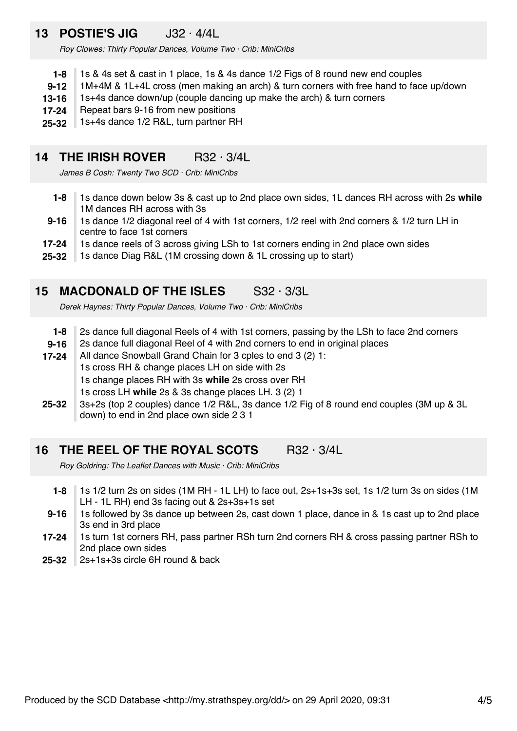# **13 POSTIE'S JIG** J32 · 4/4L

*Roy Clowes: Thirty Popular Dances, Volume Two · Crib: MiniCribs*

- **1-8** 1s & 4s set & cast in 1 place, 1s & 4s dance 1/2 Figs of 8 round new end couples
- **9-12** 1M+4M & 1L+4L cross (men making an arch) & turn corners with free hand to face up/down
- **13-16** 1s+4s dance down/up (couple dancing up make the arch) & turn corners
- **17-24** Repeat bars 9-16 from new positions
- **25-32** 1s+4s dance 1/2 R&L, turn partner RH

### **14 THE IRISH ROVER** R32 · 3/4L

*James B Cosh: Twenty Two SCD · Crib: MiniCribs*

- **1-8** 1s dance down below 3s & cast up to 2nd place own sides, 1L dances RH across with 2s **while** 1M dances RH across with 3s
- **9-16** 1s dance 1/2 diagonal reel of 4 with 1st corners, 1/2 reel with 2nd corners & 1/2 turn LH in centre to face 1st corners
- **17-24** 1s dance reels of 3 across giving LSh to 1st corners ending in 2nd place own sides
- **25-32** 1s dance Diag R&L (1M crossing down & 1L crossing up to start)

#### **15 MACDONALD OF THE ISLES** S32 · 3/3L

*Derek Haynes: Thirty Popular Dances, Volume Two · Crib: MiniCribs*

- **1-8** 2s dance full diagonal Reels of 4 with 1st corners, passing by the LSh to face 2nd corners
- **9-16** 2s dance full diagonal Reel of 4 with 2nd corners to end in original places
- **17-24** All dance Snowball Grand Chain for 3 cples to end 3 (2) 1: 1s cross RH & change places LH on side with 2s 1s change places RH with 3s **while** 2s cross over RH
	-
	- 1s cross LH **while** 2s & 3s change places LH. 3 (2) 1
- **25-32** 3s+2s (top 2 couples) dance 1/2 R&L, 3s dance 1/2 Fig of 8 round end couples (3M up & 3L down) to end in 2nd place own side 2 3 1

#### **16 THE REEL OF THE ROYAL SCOTS** R32 · 3/4L

*Roy Goldring: The Leaflet Dances with Music · Crib: MiniCribs*

- **1-8** 1s 1/2 turn 2s on sides (1M RH - 1L LH) to face out, 2s+1s+3s set, 1s 1/2 turn 3s on sides (1M LH - 1L RH) end 3s facing out & 2s+3s+1s set
- **9-16** 1s followed by 3s dance up between 2s, cast down 1 place, dance in & 1s cast up to 2nd place 3s end in 3rd place
- **17-24** 1s turn 1st corners RH, pass partner RSh turn 2nd corners RH & cross passing partner RSh to 2nd place own sides
- **25-32** 2s+1s+3s circle 6H round & back